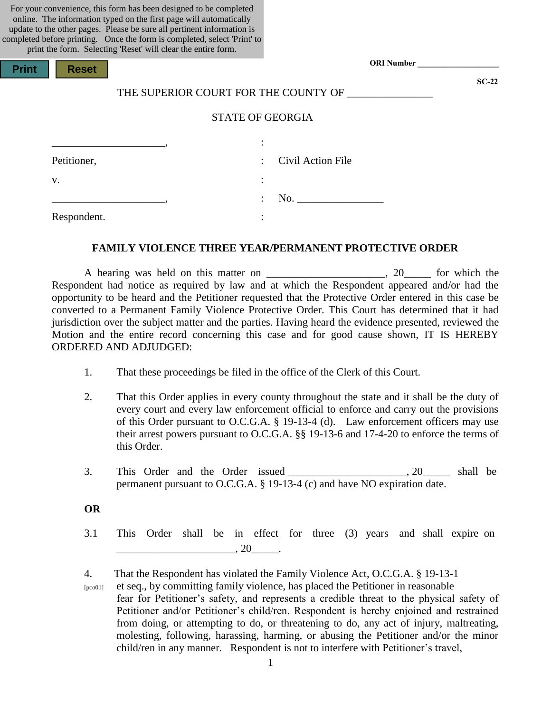For your convenience, this form has been designed to be completed online. The information typed on the first page will automatically update to the other pages. Please be sure all pertinent information is completed before printing. Once the form is completed, select 'Print' to  $p_{\text{crit}}$  the form. Selecting 'Deset' will clear the entire form.

| print the form. Selecting Reset will clear the entire form. |                         |                                      |                   |  |
|-------------------------------------------------------------|-------------------------|--------------------------------------|-------------------|--|
| <b>Print</b><br><b>Reset</b>                                |                         |                                      | <b>ORI Number</b> |  |
|                                                             |                         | THE SUPERIOR COURT FOR THE COUNTY OF | $SC-22$           |  |
|                                                             | <b>STATE OF GEORGIA</b> |                                      |                   |  |
|                                                             | $\cdot$                 |                                      |                   |  |
| Petitioner,                                                 |                         | Civil Action File                    |                   |  |
| V.                                                          | $\bullet$<br>$\bullet$  |                                      |                   |  |
|                                                             |                         |                                      |                   |  |
| Respondent.                                                 | $\bullet$               |                                      |                   |  |
|                                                             |                         |                                      |                   |  |

#### **FAMILY VIOLENCE THREE YEAR/PERMANENT PROTECTIVE ORDER**

A hearing was held on this matter on \_\_\_\_\_\_\_\_\_\_\_\_\_\_\_\_\_\_\_\_\_, 20\_\_\_\_\_ for which the Respondent had notice as required by law and at which the Respondent appeared and/or had the opportunity to be heard and the Petitioner requested that the Protective Order entered in this case be converted to a Permanent Family Violence Protective Order. This Court has determined that it had jurisdiction over the subject matter and the parties. Having heard the evidence presented, reviewed the Motion and the entire record concerning this case and for good cause shown, IT IS HEREBY ORDERED AND ADJUDGED:

- 1. That these proceedings be filed in the office of the Clerk of this Court.
- 2. That this Order applies in every county throughout the state and it shall be the duty of every court and every law enforcement official to enforce and carry out the provisions of this Order pursuant to O.C.G.A. § 19-13-4 (d). Law enforcement officers may use their arrest powers pursuant to O.C.G.A. §§ 19-13-6 and 17-4-20 to enforce the terms of this Order.
- 3. This Order and the Order issued 20 shall be permanent pursuant to O.C.G.A. § 19-13-4 (c) and have NO expiration date.

#### **OR**

3.1 This Order shall be in effect for three (3) years and shall expire on  $\frac{1}{\sqrt{20}}$ , 20 $\frac{1}{\sqrt{20}}$ .

4. That the Respondent has violated the Family Violence Act, O.C.G.A. § 19-13-1

 [pco01] et seq., by committing family violence, has placed the Petitioner in reasonable fear for Petitioner's safety, and represents a credible threat to the physical safety of Petitioner and/or Petitioner's child/ren. Respondent is hereby enjoined and restrained from doing, or attempting to do, or threatening to do, any act of injury, maltreating, molesting, following, harassing, harming, or abusing the Petitioner and/or the minor child/ren in any manner. Respondent is not to interfere with Petitioner's travel,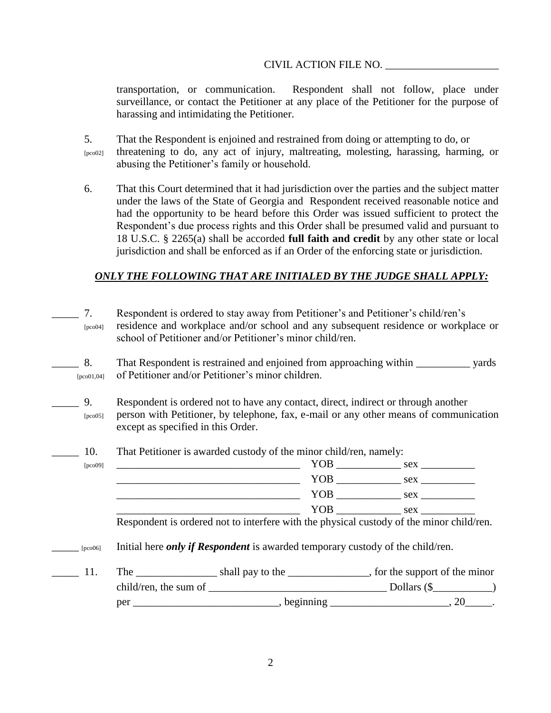transportation, or communication. Respondent shall not follow, place under surveillance, or contact the Petitioner at any place of the Petitioner for the purpose of harassing and intimidating the Petitioner.

5. That the Respondent is enjoined and restrained from doing or attempting to do, or [pco02] threatening to do, any act of injury, maltreating, molesting, harassing, harming, or abusing the Petitioner's family or household.

6. That this Court determined that it had jurisdiction over the parties and the subject matter under the laws of the State of Georgia and Respondent received reasonable notice and had the opportunity to be heard before this Order was issued sufficient to protect the Respondent's due process rights and this Order shall be presumed valid and pursuant to 18 U.S.C. § 2265(a) shall be accorded **full faith and credit** by any other state or local jurisdiction and shall be enforced as if an Order of the enforcing state or jurisdiction.

# *ONLY THE FOLLOWING THAT ARE INITIALED BY THE JUDGE SHALL APPLY:*

\_\_\_\_\_ 7. Respondent is ordered to stay away from Petitioner's and Petitioner's child/ren's [pco04] residence and workplace and/or school and any subsequent residence or workplace or school of Petitioner and/or Petitioner's minor child/ren.

\_\_\_\_\_ 8. That Respondent is restrained and enjoined from approaching within \_\_\_\_\_\_\_\_\_\_ yards [pco01,04] of Petitioner and/or Petitioner's minor children.

- 9. Respondent is ordered not to have any contact, direct, indirect or through another [pco05] person with Petitioner, by telephone, fax, e-mail or any other means of communication except as specified in this Order.
- \_\_\_\_\_ 10. That Petitioner is awarded custody of the minor child/ren, namely:

| [pco09] | YOB        | sex |
|---------|------------|-----|
|         | YOB        | sex |
|         | <b>YOB</b> | sex |
|         | YOB        | sex |

\_\_\_\_\_ [pco06] Initial here *only if Respondent* is awarded temporary custody of the child/ren.

\_\_\_\_\_ 11. The \_\_\_\_\_\_\_\_\_\_\_\_\_\_\_ shall pay to the \_\_\_\_\_\_\_\_\_\_\_\_\_\_\_, for the support of the minor child/ren, the sum of \_\_\_\_\_\_\_\_\_\_\_\_\_\_\_\_\_\_\_\_\_\_\_\_\_\_\_\_\_\_\_\_\_ Dollars (\$\_\_\_\_\_\_\_\_\_\_\_) per \_\_\_\_\_\_\_\_\_\_\_\_\_\_\_\_\_\_\_\_\_\_, beginning \_\_\_\_\_\_\_\_\_\_\_\_\_\_\_\_\_\_\_\_\_\_\_, 20\_\_\_\_\_.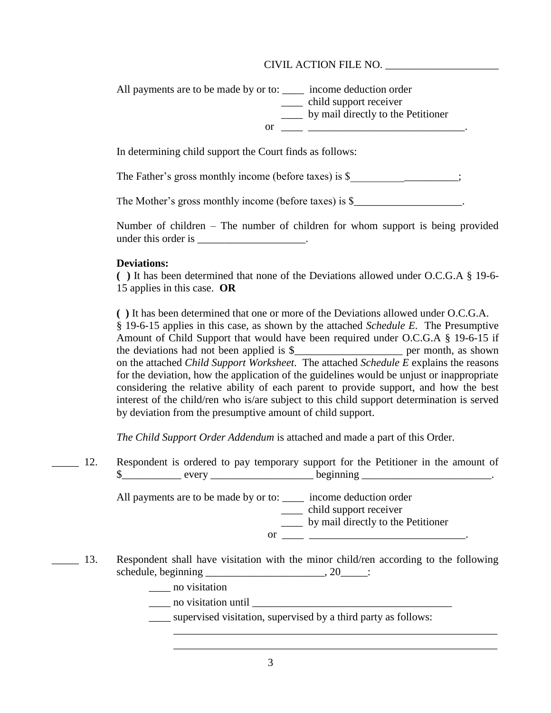All payments are to be made by or to: \_\_\_\_\_ income deduction order \_\_\_\_ child support receiver \_\_\_\_ by mail directly to the Petitioner or  $\overline{\phantom{a}}$   $\overline{\phantom{a}}$   $\overline{\phantom{a}}$   $\overline{\phantom{a}}$   $\overline{\phantom{a}}$ 

In determining child support the Court finds as follows:

The Father's gross monthly income (before taxes) is \$

The Mother's gross monthly income (before taxes) is \$\_\_\_\_\_\_\_\_\_\_\_\_\_\_\_\_\_\_\_\_\_\_.

Number of children – The number of children for whom support is being provided under this order is \_\_\_\_\_\_\_\_\_\_\_\_\_\_\_\_\_\_\_\_.

### **Deviations:**

**( )** It has been determined that none of the Deviations allowed under O.C.G.A § 19-6- 15 applies in this case. **OR**

**( )** It has been determined that one or more of the Deviations allowed under O.C.G.A. § 19-6-15 applies in this case, as shown by the attached *Schedule E*. The Presumptive Amount of Child Support that would have been required under O.C.G.A § 19-6-15 if the deviations had not been applied is  $\frac{1}{2}$  per month, as shown on the attached *Child Support Worksheet*. The attached *Schedule E* explains the reasons for the deviation, how the application of the guidelines would be unjust or inappropriate considering the relative ability of each parent to provide support, and how the best interest of the child/ren who is/are subject to this child support determination is served by deviation from the presumptive amount of child support.

*The Child Support Order Addendum* is attached and made a part of this Order.

12. Respondent is ordered to pay temporary support for the Petitioner in the amount of  $\frac{\text{S}}{\text{S}}$  every every beginning  $\frac{\text{S}}{\text{S}}$ 

> All payments are to be made by or to: \_\_\_\_ income deduction order \_\_\_\_ child support receiver \_\_\_\_ by mail directly to the Petitioner or  $\overline{\phantom{a}}$   $\overline{\phantom{a}}$   $\overline{\phantom{a}}$   $\overline{\phantom{a}}$   $\overline{\phantom{a}}$   $\overline{\phantom{a}}$   $\overline{\phantom{a}}$   $\overline{\phantom{a}}$   $\overline{\phantom{a}}$   $\overline{\phantom{a}}$   $\overline{\phantom{a}}$   $\overline{\phantom{a}}$   $\overline{\phantom{a}}$   $\overline{\phantom{a}}$   $\overline{\phantom{a}}$   $\overline{\phantom{a}}$   $\overline{\phantom{a}}$   $\overline{\phantom{a}}$   $\$

13. Respondent shall have visitation with the minor child/ren according to the following schedule, beginning \_\_\_\_\_\_\_\_\_\_\_\_\_\_\_\_\_\_\_\_\_\_\_\_, 20\_\_\_\_\_\_:

\_\_\_\_ no visitation

 $\frac{1}{\sqrt{1-\frac{1}{2}}}\n$  no visitation until  $\frac{1}{\sqrt{1-\frac{1}{2}}}\n$ 

supervised visitation, supervised by a third party as follows:

\_\_\_\_\_\_\_\_\_\_\_\_\_\_\_\_\_\_\_\_\_\_\_\_\_\_\_\_\_\_\_\_\_\_\_\_\_\_\_\_\_\_\_\_\_\_\_\_\_\_\_\_\_\_\_\_\_\_\_\_ \_\_\_\_\_\_\_\_\_\_\_\_\_\_\_\_\_\_\_\_\_\_\_\_\_\_\_\_\_\_\_\_\_\_\_\_\_\_\_\_\_\_\_\_\_\_\_\_\_\_\_\_\_\_\_\_\_\_\_\_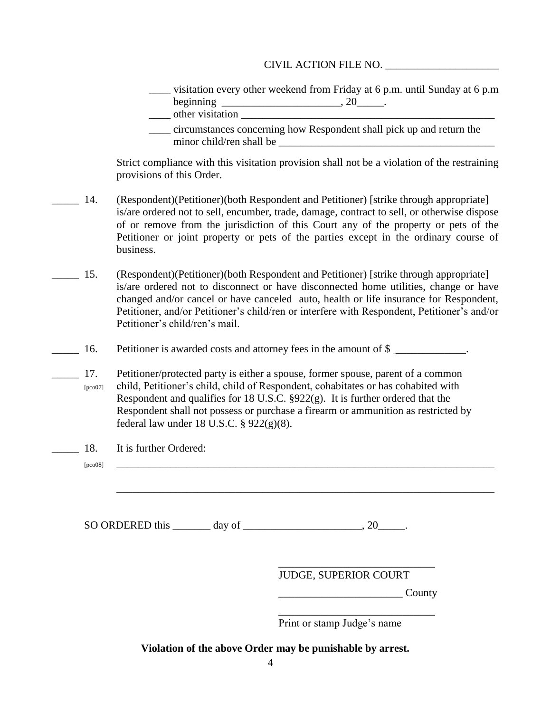\_\_\_\_ visitation every other weekend from Friday at 6 p.m. until Sunday at 6 p.m beginning  $\frac{1}{2}$   $\frac{1}{2}$   $\frac{1}{2}$   $\frac{1}{2}$   $\frac{1}{2}$   $\frac{1}{2}$   $\frac{1}{2}$   $\frac{1}{2}$   $\frac{1}{2}$   $\frac{1}{2}$   $\frac{1}{2}$   $\frac{1}{2}$   $\frac{1}{2}$   $\frac{1}{2}$   $\frac{1}{2}$   $\frac{1}{2}$   $\frac{1}{2}$   $\frac{1}{2}$   $\frac{1}{2}$   $\frac{1}{2}$   $\frac{1}{2}$ 

- $\blacksquare$  other visitation
- \_\_\_\_ circumstances concerning how Respondent shall pick up and return the minor child/ren shall be

Strict compliance with this visitation provision shall not be a violation of the restraining provisions of this Order.

- \_\_\_\_\_ 14. (Respondent)(Petitioner)(both Respondent and Petitioner) [strike through appropriate] is/are ordered not to sell, encumber, trade, damage, contract to sell, or otherwise dispose of or remove from the jurisdiction of this Court any of the property or pets of the Petitioner or joint property or pets of the parties except in the ordinary course of business.
- \_\_\_\_\_ 15. (Respondent)(Petitioner)(both Respondent and Petitioner) [strike through appropriate] is/are ordered not to disconnect or have disconnected home utilities, change or have changed and/or cancel or have canceled auto, health or life insurance for Respondent, Petitioner, and/or Petitioner's child/ren or interfere with Respondent, Petitioner's and/or Petitioner's child/ren's mail.
- 16. Petitioner is awarded costs and attorney fees in the amount of \$
	- 17. Petitioner/protected party is either a spouse, former spouse, parent of a common [pco07] child, Petitioner's child, child of Respondent, cohabitates or has cohabited with Respondent and qualifies for 18 U.S.C. §922(g). It is further ordered that the Respondent shall not possess or purchase a firearm or ammunition as restricted by federal law under 18 U.S.C. § 922(g)(8).
	- 18. It is further Ordered:

[pco08] \_\_\_\_\_\_\_\_\_\_\_\_\_\_\_\_\_\_\_\_\_\_\_\_\_\_\_\_\_\_\_\_\_\_\_\_\_\_\_\_\_\_\_\_\_\_\_\_\_\_\_\_\_\_\_\_\_\_\_\_\_\_\_\_\_\_\_\_\_\_

 $SO$  ORDERED this \_\_\_\_\_\_\_ day of \_\_\_\_\_\_\_\_\_\_\_\_\_\_\_\_\_\_\_\_\_\_\_, 20\_\_\_\_\_\_\_.

JUDGE, SUPERIOR COURT

\_\_\_\_\_\_\_\_\_\_\_\_\_\_\_\_\_\_\_\_\_\_\_\_\_\_\_\_\_

\_\_\_\_\_\_\_\_\_\_\_\_\_\_\_\_\_\_\_\_\_\_\_\_\_\_\_\_\_

\_\_\_\_\_\_\_\_\_\_\_\_\_\_\_\_\_\_\_\_\_\_\_\_\_\_\_\_\_\_\_\_\_\_\_\_\_\_\_\_\_\_\_\_\_\_\_\_\_\_\_\_\_\_\_\_\_\_\_\_\_\_\_\_\_\_\_\_\_\_

\_\_\_\_\_\_\_\_\_\_\_\_\_\_\_\_\_\_\_\_\_\_\_ County

Print or stamp Judge's name

**Violation of the above Order may be punishable by arrest.**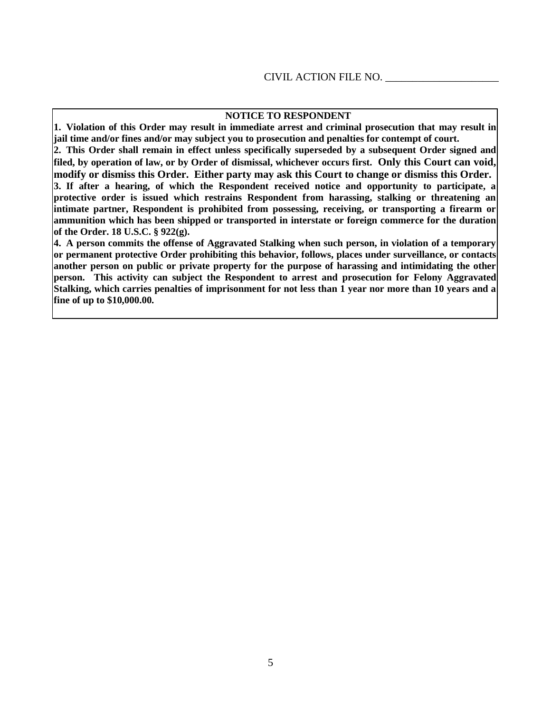#### **NOTICE TO RESPONDENT**

**1. Violation of this Order may result in immediate arrest and criminal prosecution that may result in jail time and/or fines and/or may subject you to prosecution and penalties for contempt of court.**

**2. This Order shall remain in effect unless specifically superseded by a subsequent Order signed and filed, by operation of law, or by Order of dismissal, whichever occurs first. Only this Court can void, modify or dismiss this Order. Either party may ask this Court to change or dismiss this Order. 3. If after a hearing, of which the Respondent received notice and opportunity to participate, a protective order is issued which restrains Respondent from harassing, stalking or threatening an intimate partner, Respondent is prohibited from possessing, receiving, or transporting a firearm or ammunition which has been shipped or transported in interstate or foreign commerce for the duration of the Order. 18 U.S.C. § 922(g).**

**4. A person commits the offense of Aggravated Stalking when such person, in violation of a temporary or permanent protective Order prohibiting this behavior, follows, places under surveillance, or contacts another person on public or private property for the purpose of harassing and intimidating the other person. This activity can subject the Respondent to arrest and prosecution for Felony Aggravated Stalking, which carries penalties of imprisonment for not less than 1 year nor more than 10 years and a fine of up to \$10,000.00.**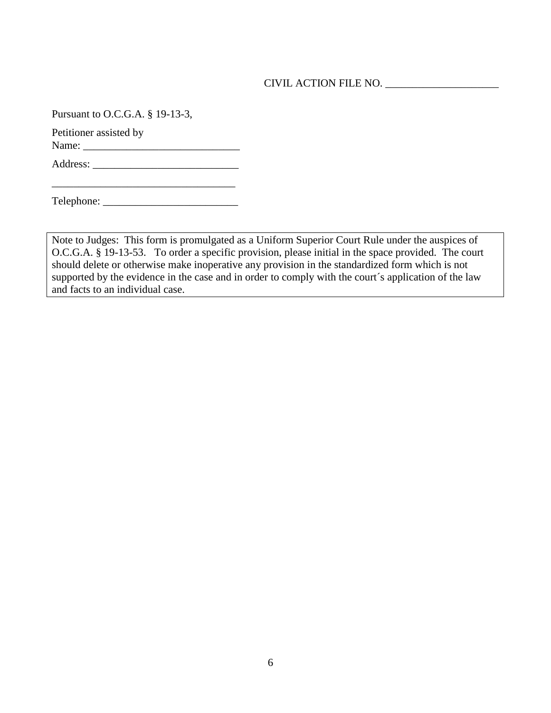Pursuant to O.C.G.A. § 19-13-3,

Petitioner assisted by

Name: \_\_\_\_\_\_\_\_\_\_\_\_\_\_\_\_\_\_\_\_\_\_\_\_\_\_\_\_\_

Address: \_\_\_\_\_\_\_\_\_\_\_\_\_\_\_\_\_\_\_\_\_\_\_\_\_\_\_

\_\_\_\_\_\_\_\_\_\_\_\_\_\_\_\_\_\_\_\_\_\_\_\_\_\_\_\_\_\_\_\_\_\_

Telephone: \_\_\_\_\_\_\_\_\_\_\_\_\_\_\_\_\_\_\_\_\_\_\_\_\_

Note to Judges: This form is promulgated as a Uniform Superior Court Rule under the auspices of O.C.G.A. § 19-13-53. To order a specific provision, please initial in the space provided. The court should delete or otherwise make inoperative any provision in the standardized form which is not supported by the evidence in the case and in order to comply with the court's application of the law and facts to an individual case.